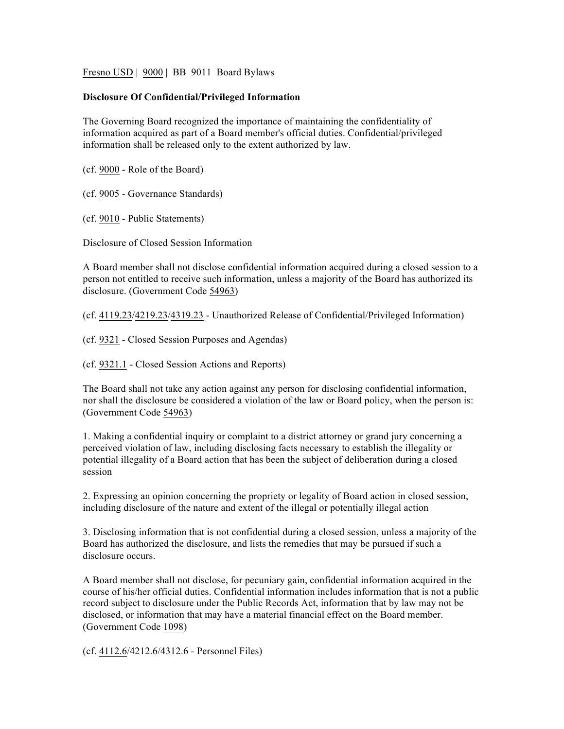Fresno USD | 9000 | BB 9011 Board Bylaws

## **Disclosure Of Confidential/Privileged Information**

The Governing Board recognized the importance of maintaining the confidentiality of information acquired as part of a Board member's official duties. Confidential/privileged information shall be released only to the extent authorized by law.

(cf. 9000 - Role of the Board)

(cf. 9005 - Governance Standards)

(cf. 9010 - Public Statements)

Disclosure of Closed Session Information

A Board member shall not disclose confidential information acquired during a closed session to a person not entitled to receive such information, unless a majority of the Board has authorized its disclosure. (Government Code 54963)

(cf. 4119.23/4219.23/4319.23 - Unauthorized Release of Confidential/Privileged Information)

(cf. 9321 - Closed Session Purposes and Agendas)

(cf. 9321.1 - Closed Session Actions and Reports)

The Board shall not take any action against any person for disclosing confidential information, nor shall the disclosure be considered a violation of the law or Board policy, when the person is: (Government Code 54963)

1. Making a confidential inquiry or complaint to a district attorney or grand jury concerning a perceived violation of law, including disclosing facts necessary to establish the illegality or potential illegality of a Board action that has been the subject of deliberation during a closed session

2. Expressing an opinion concerning the propriety or legality of Board action in closed session, including disclosure of the nature and extent of the illegal or potentially illegal action

3. Disclosing information that is not confidential during a closed session, unless a majority of the Board has authorized the disclosure, and lists the remedies that may be pursued if such a disclosure occurs.

A Board member shall not disclose, for pecuniary gain, confidential information acquired in the course of his/her official duties. Confidential information includes information that is not a public record subject to disclosure under the Public Records Act, information that by law may not be disclosed, or information that may have a material financial effect on the Board member. (Government Code 1098)

(cf. 4112.6/4212.6/4312.6 - Personnel Files)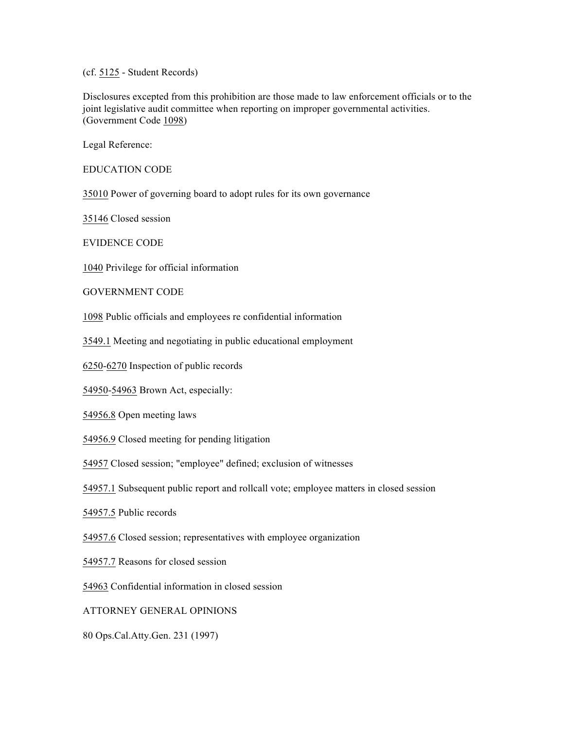(cf. 5125 - Student Records)

Disclosures excepted from this prohibition are those made to law enforcement officials or to the joint legislative audit committee when reporting on improper governmental activities. (Government Code 1098)

Legal Reference:

EDUCATION CODE

35010 Power of governing board to adopt rules for its own governance

35146 Closed session

EVIDENCE CODE

1040 Privilege for official information

GOVERNMENT CODE

1098 Public officials and employees re confidential information

3549.1 Meeting and negotiating in public educational employment

6250-6270 Inspection of public records

54950-54963 Brown Act, especially:

54956.8 Open meeting laws

54956.9 Closed meeting for pending litigation

54957 Closed session; "employee" defined; exclusion of witnesses

54957.1 Subsequent public report and rollcall vote; employee matters in closed session

54957.5 Public records

54957.6 Closed session; representatives with employee organization

54957.7 Reasons for closed session

54963 Confidential information in closed session

ATTORNEY GENERAL OPINIONS

80 Ops.Cal.Atty.Gen. 231 (1997)